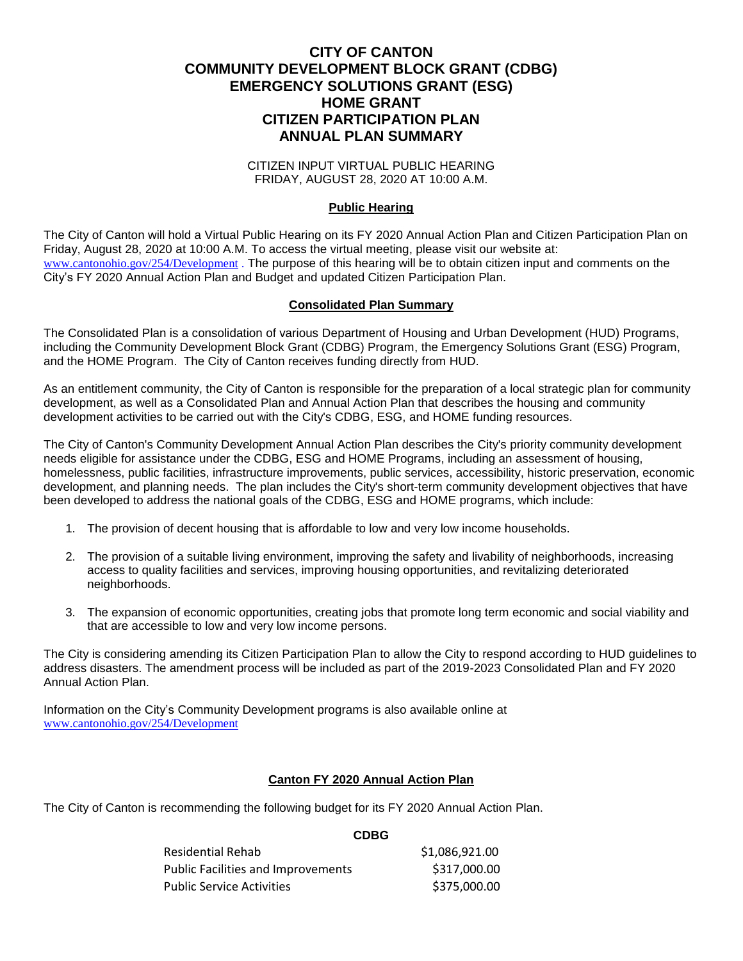# **CITY OF CANTON COMMUNITY DEVELOPMENT BLOCK GRANT (CDBG) EMERGENCY SOLUTIONS GRANT (ESG) HOME GRANT CITIZEN PARTICIPATION PLAN ANNUAL PLAN SUMMARY**

CITIZEN INPUT VIRTUAL PUBLIC HEARING FRIDAY, AUGUST 28, 2020 AT 10:00 A.M.

### **Public Hearing**

The City of Canton will hold a Virtual Public Hearing on its FY 2020 Annual Action Plan and Citizen Participation Plan on Friday, August 28, 2020 at 10:00 A.M. To access the virtual meeting, please visit our website at: [www.cantonohio.gov/254/Development](http://www.cantonohio.gov/254/Development) . The purpose of this hearing will be to obtain citizen input and comments on the City's FY 2020 Annual Action Plan and Budget and updated Citizen Participation Plan.

### **Consolidated Plan Summary**

The Consolidated Plan is a consolidation of various Department of Housing and Urban Development (HUD) Programs, including the Community Development Block Grant (CDBG) Program, the Emergency Solutions Grant (ESG) Program, and the HOME Program. The City of Canton receives funding directly from HUD.

As an entitlement community, the City of Canton is responsible for the preparation of a local strategic plan for community development, as well as a Consolidated Plan and Annual Action Plan that describes the housing and community development activities to be carried out with the City's CDBG, ESG, and HOME funding resources.

The City of Canton's Community Development Annual Action Plan describes the City's priority community development needs eligible for assistance under the CDBG, ESG and HOME Programs, including an assessment of housing, homelessness, public facilities, infrastructure improvements, public services, accessibility, historic preservation, economic development, and planning needs. The plan includes the City's short-term community development objectives that have been developed to address the national goals of the CDBG, ESG and HOME programs, which include:

- 1. The provision of decent housing that is affordable to low and very low income households.
- 2. The provision of a suitable living environment, improving the safety and livability of neighborhoods, increasing access to quality facilities and services, improving housing opportunities, and revitalizing deteriorated neighborhoods.
- 3. The expansion of economic opportunities, creating jobs that promote long term economic and social viability and that are accessible to low and very low income persons.

The City is considering amending its Citizen Participation Plan to allow the City to respond according to HUD guidelines to address disasters. The amendment process will be included as part of the 2019-2023 Consolidated Plan and FY 2020 Annual Action Plan.

Information on the City's Community Development programs is also available online at [www.cantonohio.gov/254/Development](http://www.cantonohio.gov/254/Development)

### **Canton FY 2020 Annual Action Plan**

**CDBG**

The City of Canton is recommending the following budget for its FY 2020 Annual Action Plan.

| <b>Residential Rehab</b>                  | \$1,086,921.00 |
|-------------------------------------------|----------------|
| <b>Public Facilities and Improvements</b> | \$317,000.00   |
| <b>Public Service Activities</b>          | \$375,000.00   |